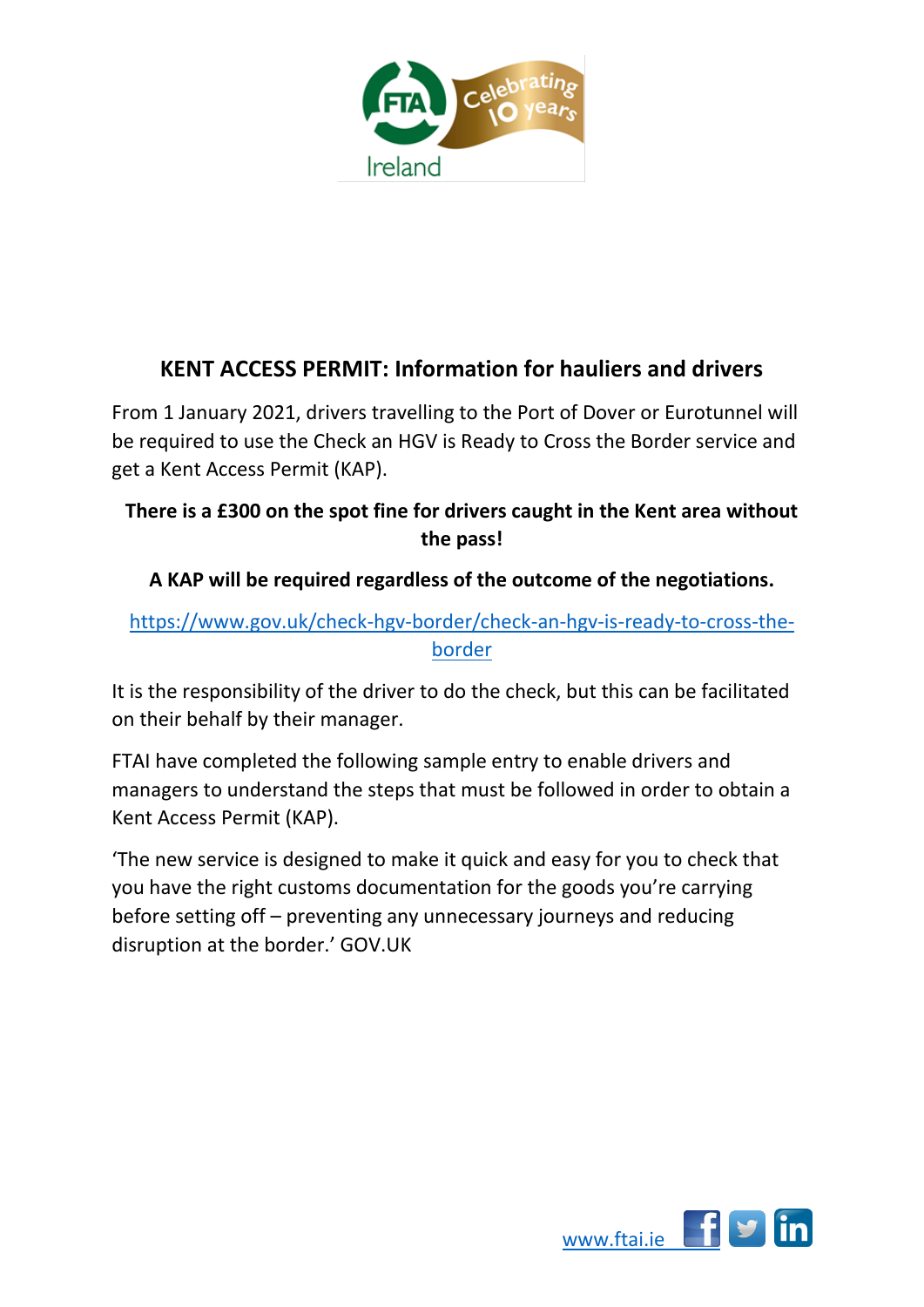

## **KENT ACCESS PERMIT: Information for hauliers and drivers**

From 1 January 2021, drivers travelling to the Port of Dover or Eurotunnel will be required to use the Check an HGV is Ready to Cross the Border service and get a Kent Access Permit (KAP).

## **There is a £300 on the spot fine for drivers caught in the Kent area without the pass!**

## **A KAP will be required regardless of the outcome of the negotiations.**

## [https://www.gov.uk/check-hgv-border/check-an-hgv-is-ready-to-cross-the](https://www.gov.uk/check-hgv-border/check-an-hgv-is-ready-to-cross-the-border)[border](https://www.gov.uk/check-hgv-border/check-an-hgv-is-ready-to-cross-the-border)

It is the responsibility of the driver to do the check, but this can be facilitated on their behalf by their manager.

FTAI have completed the following sample entry to enable drivers and managers to understand the steps that must be followed in order to obtain a Kent Access Permit (KAP).

'The new service is designed to make it quick and easy for you to check that you have the right customs documentation for the goods you're carrying before setting off – preventing any unnecessary journeys and reducing disruption at the border.' GOV.UK

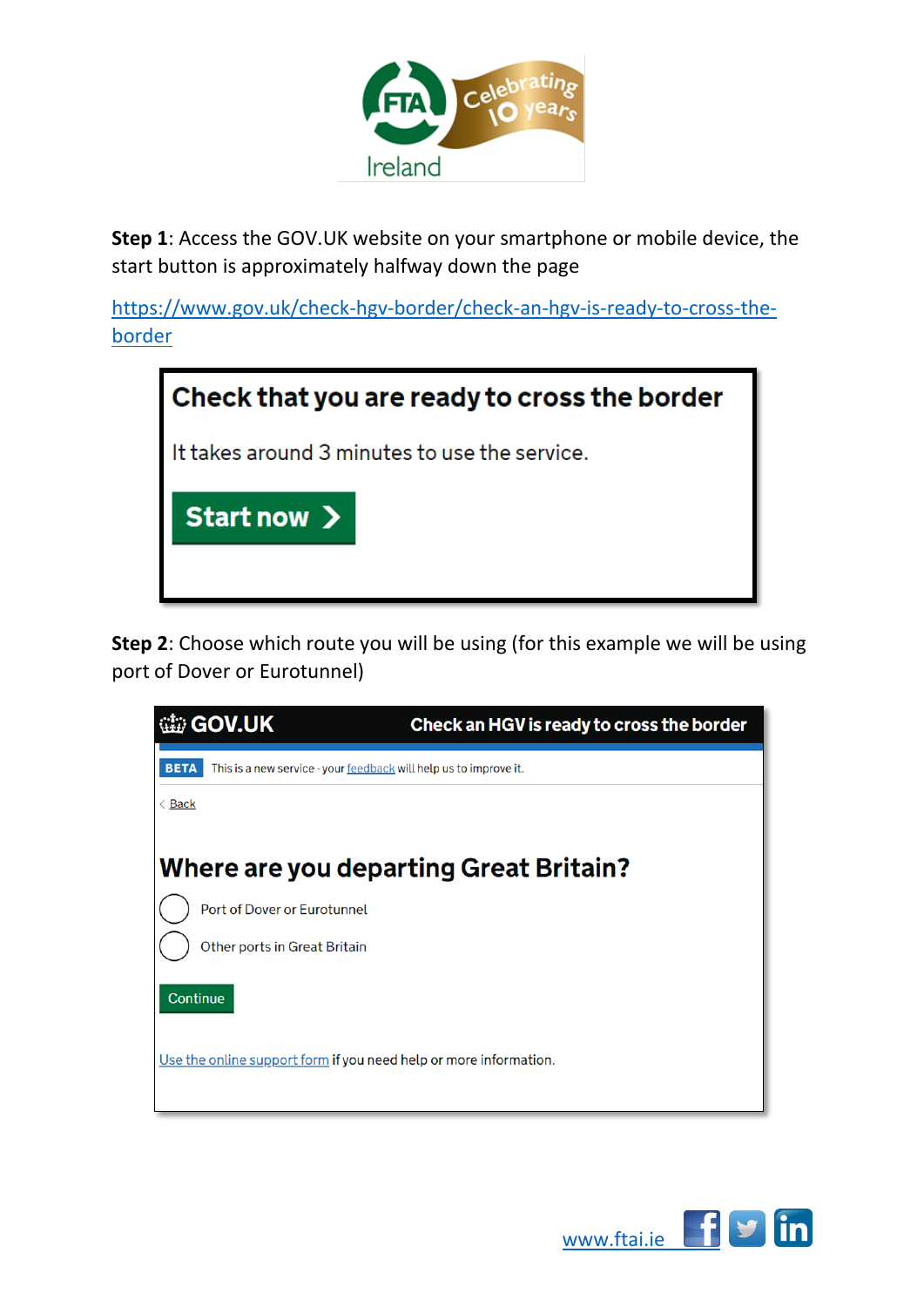

**Step 1**: Access the GOV.UK website on your smartphone or mobile device, the start button is approximately halfway down the page

[https://www.gov.uk/check-hgv-border/check-an-hgv-is-ready-to-cross-the](https://www.gov.uk/check-hgv-border/check-an-hgv-is-ready-to-cross-the-border)[border](https://www.gov.uk/check-hgv-border/check-an-hgv-is-ready-to-cross-the-border)



**Step 2**: Choose which route you will be using (for this example we will be using port of Dover or Eurotunnel)



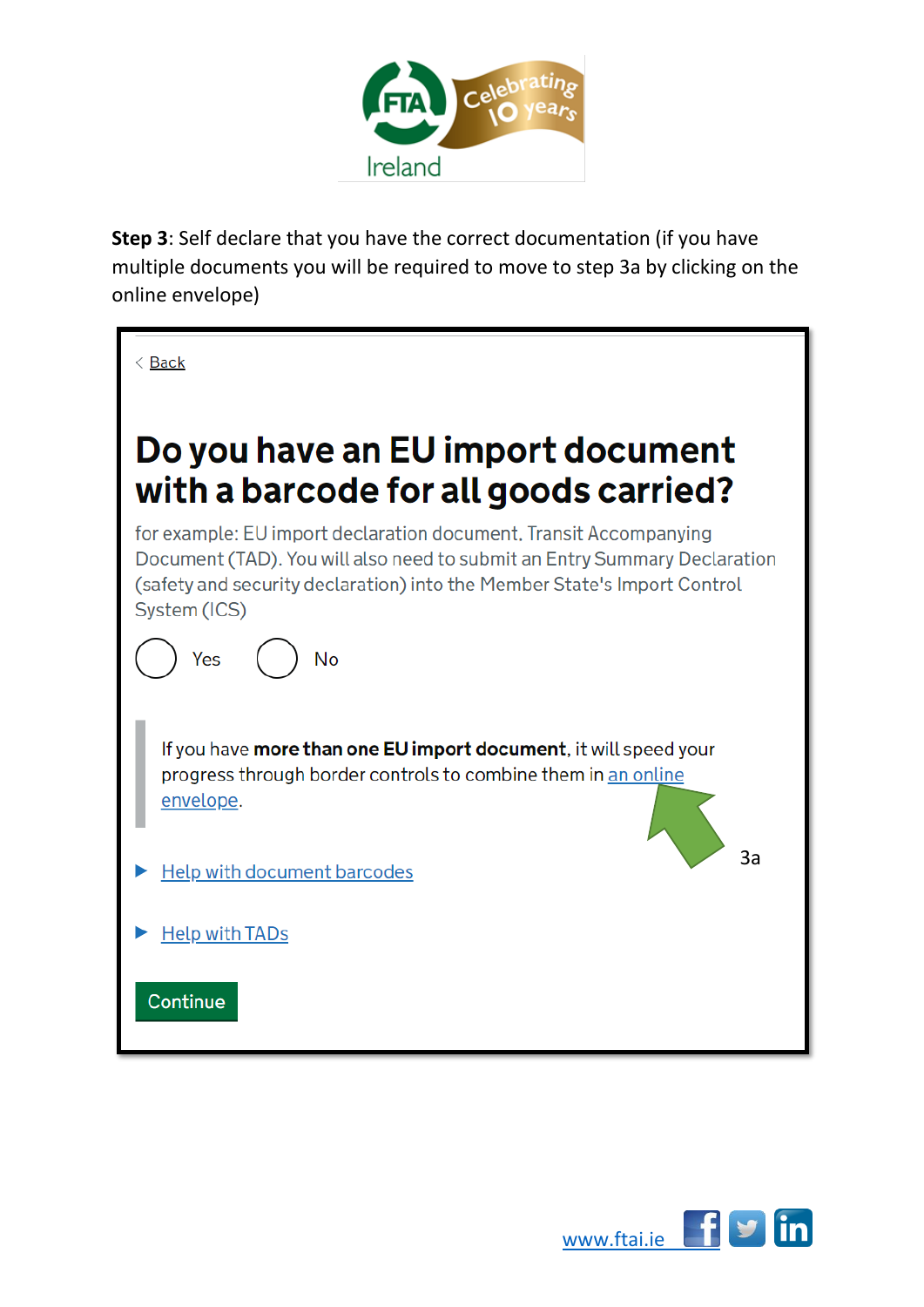

**Step 3**: Self declare that you have the correct documentation (if you have multiple documents you will be required to move to step 3a by clicking on the online envelope)



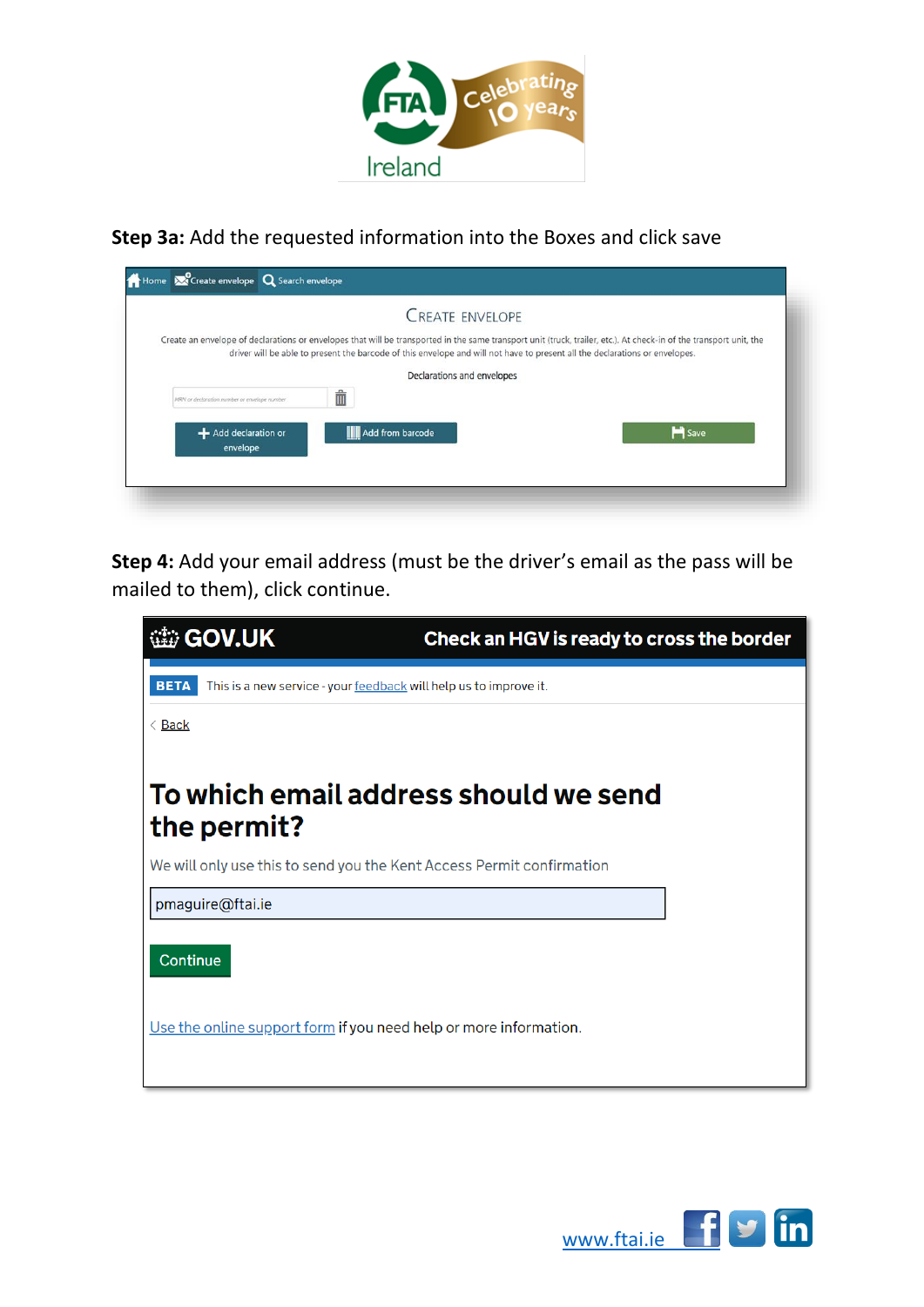

**Step 3a:** Add the requested information into the Boxes and click save

| Create an envelope of declarations or envelopes that will be transported in the same transport unit (truck, trailer, etc.). At check-in of the transport unit, the<br>driver will be able to present the barcode of this envelope and will not have to present all the declarations or envelopes.<br>Declarations and envelopes<br>Ť |                                              | <b>CREATE ENVELOPE</b> |  |
|--------------------------------------------------------------------------------------------------------------------------------------------------------------------------------------------------------------------------------------------------------------------------------------------------------------------------------------|----------------------------------------------|------------------------|--|
|                                                                                                                                                                                                                                                                                                                                      |                                              |                        |  |
|                                                                                                                                                                                                                                                                                                                                      |                                              |                        |  |
|                                                                                                                                                                                                                                                                                                                                      | MRN or declaration number or envelope number |                        |  |
| <b>M</b> Save<br><b>Add from barcode</b><br>+ Add declaration or<br>envelope                                                                                                                                                                                                                                                         |                                              |                        |  |

**Step 4:** Add your email address (must be the driver's email as the pass will be mailed to them), click continue.

| <b>sigov.UK</b>                                                                  | Check an HGV is ready to cross the border |
|----------------------------------------------------------------------------------|-------------------------------------------|
| <b>BETA</b><br>This is a new service - your feedback will help us to improve it. |                                           |
| $\langle$ Back                                                                   |                                           |
| To which email address should we send<br>the permit?                             |                                           |
| We will only use this to send you the Kent Access Permit confirmation            |                                           |
| pmaguire@ftai.ie                                                                 |                                           |
| Continue                                                                         |                                           |
| Use the online support form if you need help or more information.                |                                           |

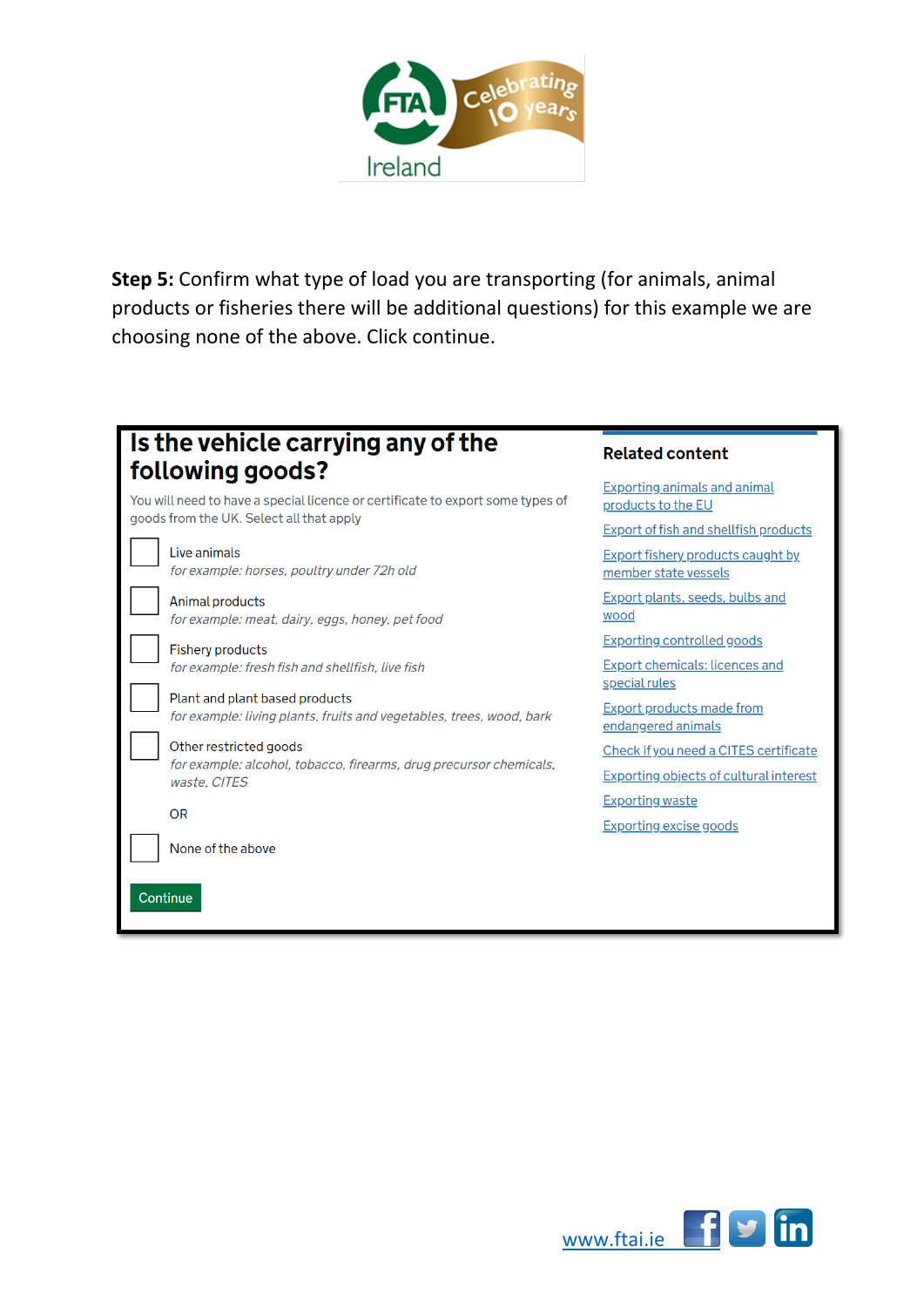

**Step 5:** Confirm what type of load you are transporting (for animals, animal products or fisheries there will be additional questions) for this example we are choosing none of the above. Click continue.

| Is the vehicle carrying any of the<br>following goods?                                                 | <b>Related content</b>                                           |
|--------------------------------------------------------------------------------------------------------|------------------------------------------------------------------|
| You will need to have a special licence or certificate to export some types of                         | <b>Exporting animals and animal</b><br>products to the EU        |
| goods from the UK. Select all that apply                                                               | <b>Export of fish and shellfish products</b>                     |
| Live animals<br>for example: horses, poultry under 72h old                                             | <b>Export fishery products caught by</b><br>member state vessels |
| Animal products<br>for example: meat, dairy, eggs, honey, pet food                                     | Export plants, seeds, bulbs and<br>wood                          |
| <b>Fishery products</b>                                                                                | <b>Exporting controlled goods</b>                                |
| for example: fresh fish and shellfish, live fish                                                       | <b>Export chemicals: licences and</b><br>special rules           |
| Plant and plant based products<br>for example: living plants, fruits and vegetables, trees, wood, bark | <b>Export products made from</b><br>endangered animals           |
| Other restricted goods                                                                                 | Check if you need a CITES certificate                            |
| for example: alcohol, tobacco, firearms, drug precursor chemicals,<br>waste. CITES                     | Exporting objects of cultural interest                           |
|                                                                                                        | <b>Exporting waste</b>                                           |
| <b>OR</b>                                                                                              | <b>Exporting excise goods</b>                                    |
| None of the above                                                                                      |                                                                  |
| Continue                                                                                               |                                                                  |

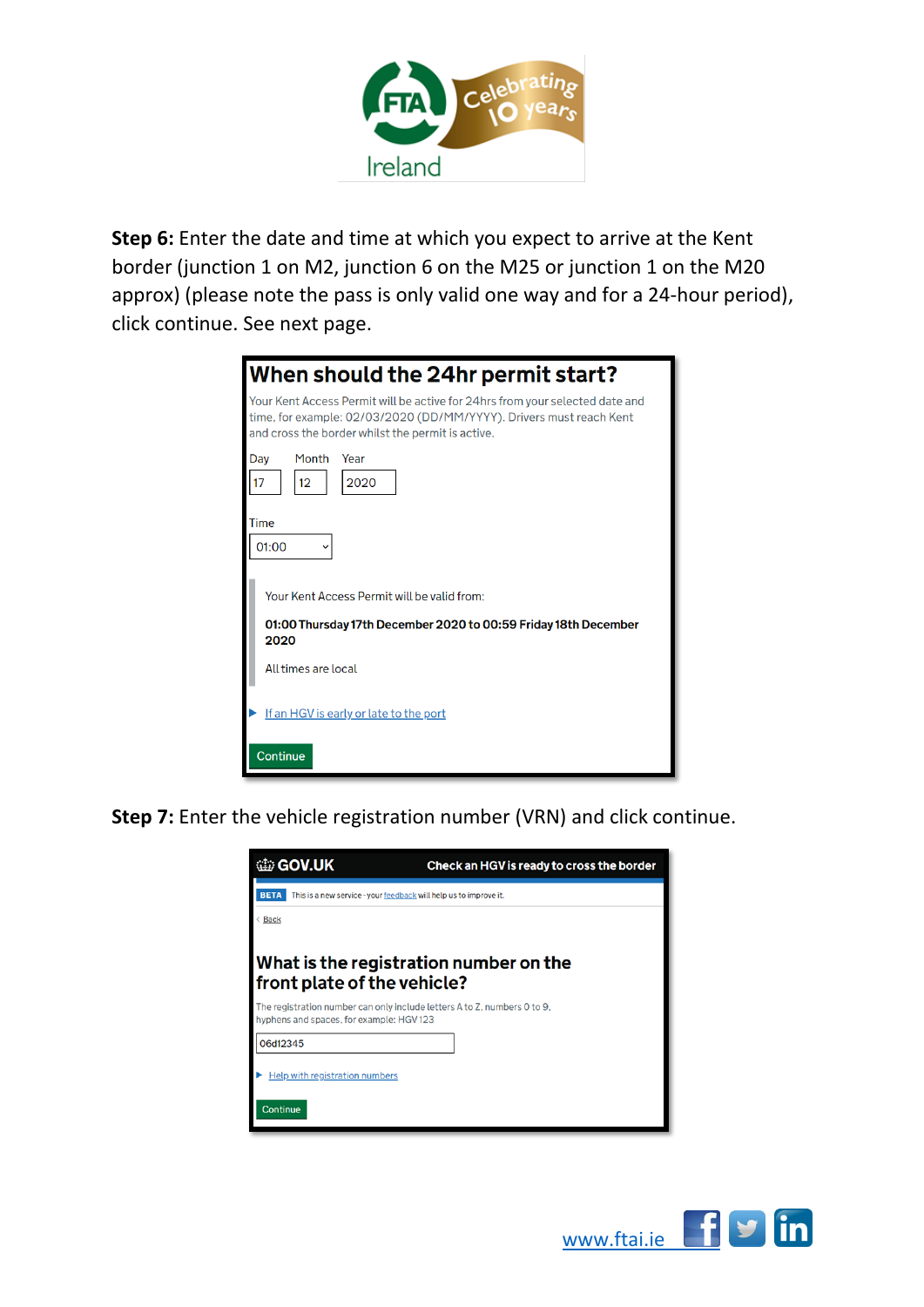

**Step 6:** Enter the date and time at which you expect to arrive at the Kent border (junction 1 on M2, junction 6 on the M25 or junction 1 on the M20 approx) (please note the pass is only valid one way and for a 24-hour period), click continue. See next page.

| When should the 24hr permit start?                                                                                                                                                                       |
|----------------------------------------------------------------------------------------------------------------------------------------------------------------------------------------------------------|
| Your Kent Access Permit will be active for 24hrs from your selected date and<br>time, for example: 02/03/2020 (DD/MM/YYYY). Drivers must reach Kent<br>and cross the border whilst the permit is active. |
| Month<br>Day<br>Year<br>2020<br>12                                                                                                                                                                       |
| Time                                                                                                                                                                                                     |
|                                                                                                                                                                                                          |
| 01:00                                                                                                                                                                                                    |
| Your Kent Access Permit will be valid from:                                                                                                                                                              |
| 01:00 Thursday 17th December 2020 to 00:59 Friday 18th December<br>2020                                                                                                                                  |
| All times are local                                                                                                                                                                                      |
| If an HGV is early or late to the port                                                                                                                                                                   |
| Continue                                                                                                                                                                                                 |

**Step 7:** Enter the vehicle registration number (VRN) and click continue.

| <b>盐 GOV.UK</b>                                                                  | Check an HGV is ready to cross the border                                |
|----------------------------------------------------------------------------------|--------------------------------------------------------------------------|
| <b>BETA</b><br>This is a new service - your feedback will help us to improve it. |                                                                          |
| Back                                                                             |                                                                          |
| front plate of the vehicle?                                                      | What is the registration number on the                                   |
| hyphens and spaces, for example: HGV123                                          | The registration number can only include letters A to Z, numbers 0 to 9, |
| 06d12345                                                                         |                                                                          |
| <b>Help with registration numbers</b>                                            |                                                                          |
| <b>Continue</b>                                                                  |                                                                          |

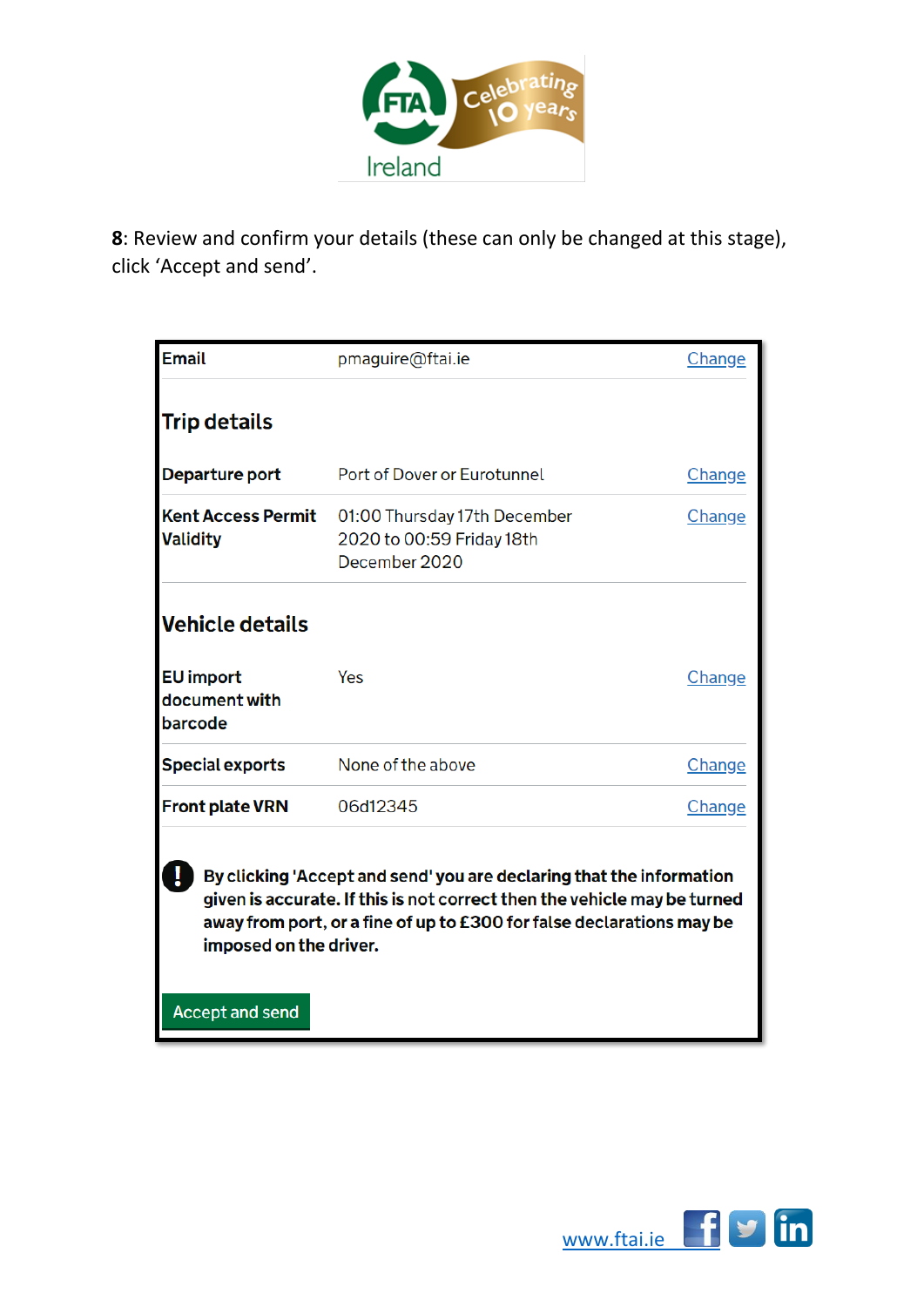

**8**: Review and confirm your details (these can only be changed at this stage), click 'Accept and send'.

| <b>Email</b>                                                                                                                                                                                                                                                                  | pmaguire@ftai.ie                                                           | Change |  |  |  |
|-------------------------------------------------------------------------------------------------------------------------------------------------------------------------------------------------------------------------------------------------------------------------------|----------------------------------------------------------------------------|--------|--|--|--|
| <b>Trip details</b>                                                                                                                                                                                                                                                           |                                                                            |        |  |  |  |
| Departure port                                                                                                                                                                                                                                                                | Port of Dover or Eurotunnel                                                | Change |  |  |  |
| <b>Kent Access Permit</b><br><b>Validity</b>                                                                                                                                                                                                                                  | 01:00 Thursday 17th December<br>2020 to 00:59 Friday 18th<br>December 2020 | Change |  |  |  |
| <b>Vehicle details</b>                                                                                                                                                                                                                                                        |                                                                            |        |  |  |  |
| <b>EU</b> import<br>document with<br>barcode                                                                                                                                                                                                                                  | Yes                                                                        | Change |  |  |  |
| <b>Special exports</b>                                                                                                                                                                                                                                                        | None of the above                                                          | Change |  |  |  |
| <b>Front plate VRN</b>                                                                                                                                                                                                                                                        | 06d12345                                                                   | Change |  |  |  |
| By clicking 'Accept and send' you are declaring that the information<br>given is accurate. If this is not correct then the vehicle may be turned<br>away from port, or a fine of up to £300 for false declarations may be<br>imposed on the driver.<br><b>Accept and send</b> |                                                                            |        |  |  |  |

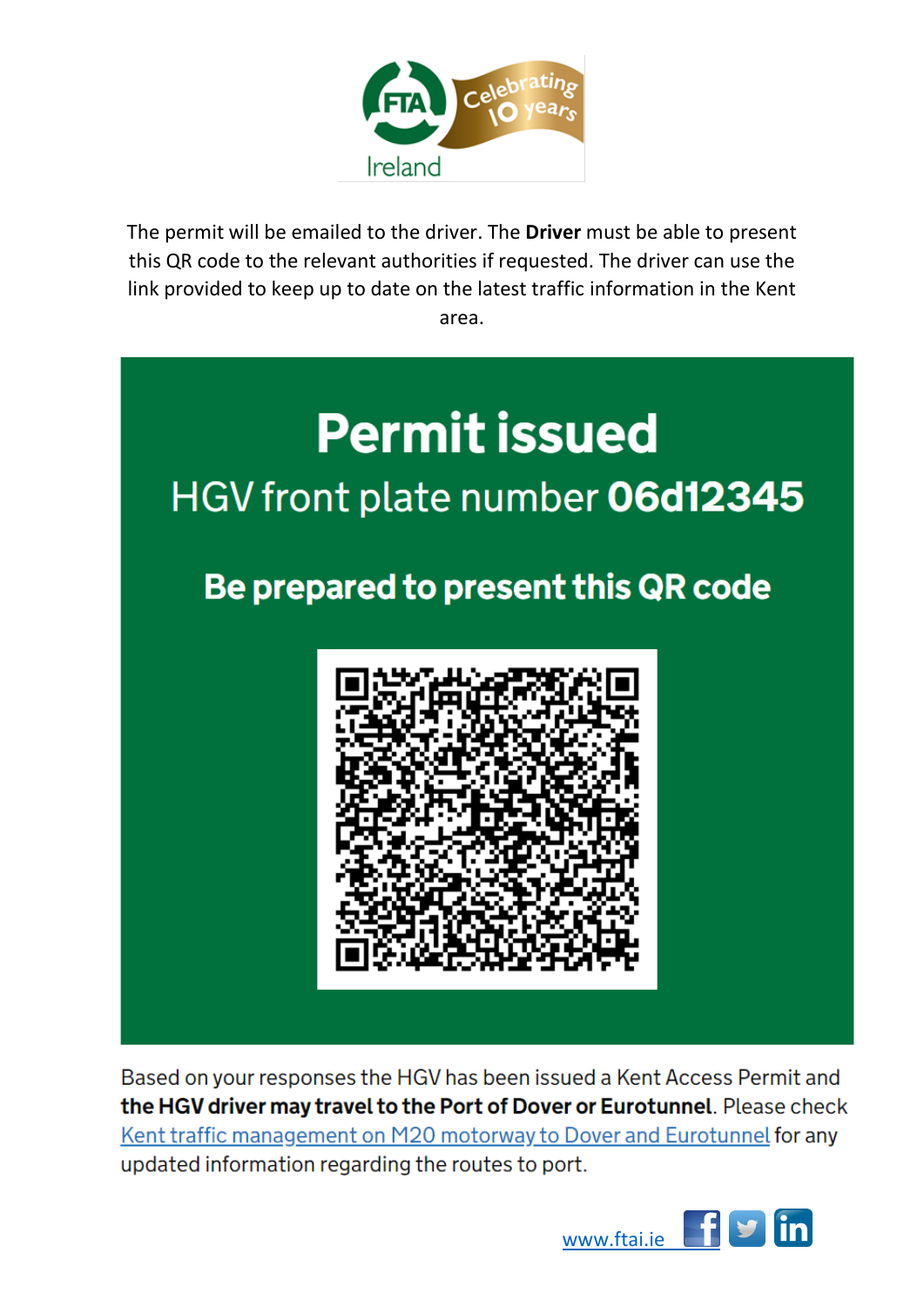

The permit will be emailed to the driver. The **Driver** must be able to present this QR code to the relevant authorities if requested. The driver can use the link provided to keep up to date on the latest traffic information in the Kent area.



Based on your responses the HGV has been issued a Kent Access Permit and the HGV driver may travel to the Port of Dover or Eurotunnel. Please check Kent traffic management on M20 motorway to Dover and Eurotunnel for any updated information regarding the routes to port.